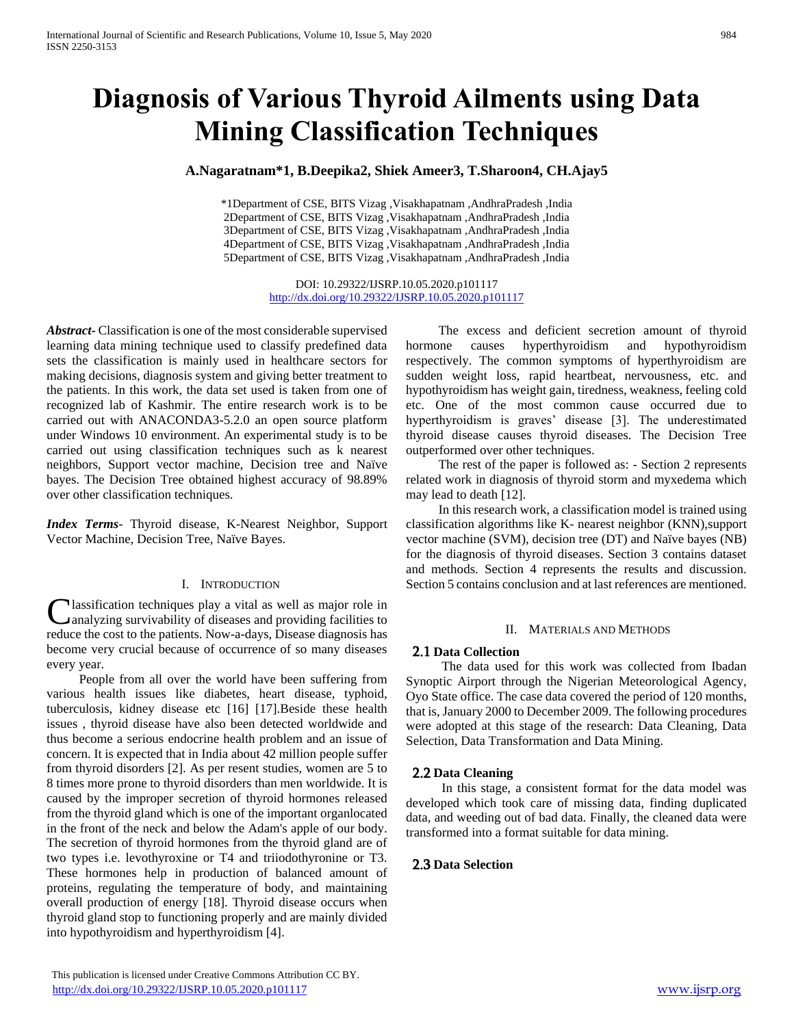# **Diagnosis of Various Thyroid Ailments using Data Mining Classification Techniques**

## **A.Nagaratnam\*1, B.Deepika2, Shiek Ameer3, T.Sharoon4, CH.Ajay5**

\*1Department of CSE, BITS Vizag ,Visakhapatnam ,AndhraPradesh ,India 2Department of CSE, BITS Vizag ,Visakhapatnam ,AndhraPradesh ,India 3Department of CSE, BITS Vizag ,Visakhapatnam ,AndhraPradesh ,India 4Department of CSE, BITS Vizag ,Visakhapatnam ,AndhraPradesh ,India 5Department of CSE, BITS Vizag ,Visakhapatnam ,AndhraPradesh ,India

> DOI: 10.29322/IJSRP.10.05.2020.p101117 <http://dx.doi.org/10.29322/IJSRP.10.05.2020.p101117>

*Abstract***-** Classification is one of the most considerable supervised learning data mining technique used to classify predefined data sets the classification is mainly used in healthcare sectors for making decisions, diagnosis system and giving better treatment to the patients. In this work, the data set used is taken from one of recognized lab of Kashmir. The entire research work is to be carried out with ANACONDA3-5.2.0 an open source platform under Windows 10 environment. An experimental study is to be carried out using classification techniques such as k nearest neighbors, Support vector machine, Decision tree and Naïve bayes. The Decision Tree obtained highest accuracy of 98.89% over other classification techniques.

*Index Terms*- Thyroid disease, K-Nearest Neighbor, Support Vector Machine, Decision Tree, Naïve Bayes.

### I. INTRODUCTION

lassification techniques play a vital as well as major role in **C** lassification techniques play a vital as well as major role in analyzing survivability of diseases and providing facilities to reduce the cost to the patients. Now-a-days, Disease diagnosis has become very crucial because of occurrence of so many diseases every year.

 People from all over the world have been suffering from various health issues like diabetes, heart disease, typhoid, tuberculosis, kidney disease etc [16] [17].Beside these health issues , thyroid disease have also been detected worldwide and thus become a serious endocrine health problem and an issue of concern. It is expected that in India about 42 million people suffer from thyroid disorders [2]. As per resent studies, women are 5 to 8 times more prone to thyroid disorders than men worldwide. It is caused by the improper secretion of thyroid hormones released from the thyroid gland which is one of the important organlocated in the front of the neck and below the Adam's apple of our body. The secretion of thyroid hormones from the thyroid gland are of two types i.e. levothyroxine or T4 and triiodothyronine or T3. These hormones help in production of balanced amount of proteins, regulating the temperature of body, and maintaining overall production of energy [18]. Thyroid disease occurs when thyroid gland stop to functioning properly and are mainly divided into hypothyroidism and hyperthyroidism [4].

 The excess and deficient secretion amount of thyroid hormone causes hyperthyroidism and hypothyroidism respectively. The common symptoms of hyperthyroidism are sudden weight loss, rapid heartbeat, nervousness, etc. and hypothyroidism has weight gain, tiredness, weakness, feeling cold etc. One of the most common cause occurred due to hyperthyroidism is graves' disease [3]. The underestimated thyroid disease causes thyroid diseases. The Decision Tree outperformed over other techniques.

 The rest of the paper is followed as: - Section 2 represents related work in diagnosis of thyroid storm and myxedema which may lead to death [12].

 In this research work, a classification model is trained using classification algorithms like K- nearest neighbor (KNN),support vector machine (SVM), decision tree (DT) and Naïve bayes (NB) for the diagnosis of thyroid diseases. Section 3 contains dataset and methods. Section 4 represents the results and discussion. Section 5 contains conclusion and at last references are mentioned.

#### II. MATERIALS AND METHODS

### 2.1 **Data Collection**

 The data used for this work was collected from Ibadan Synoptic Airport through the Nigerian Meteorological Agency, Oyo State office. The case data covered the period of 120 months, that is, January 2000 to December 2009. The following procedures were adopted at this stage of the research: Data Cleaning, Data Selection, Data Transformation and Data Mining.

#### 2.2 **Data Cleaning**

 In this stage, a consistent format for the data model was developed which took care of missing data, finding duplicated data, and weeding out of bad data. Finally, the cleaned data were transformed into a format suitable for data mining.

#### 2.3 **Data Selection**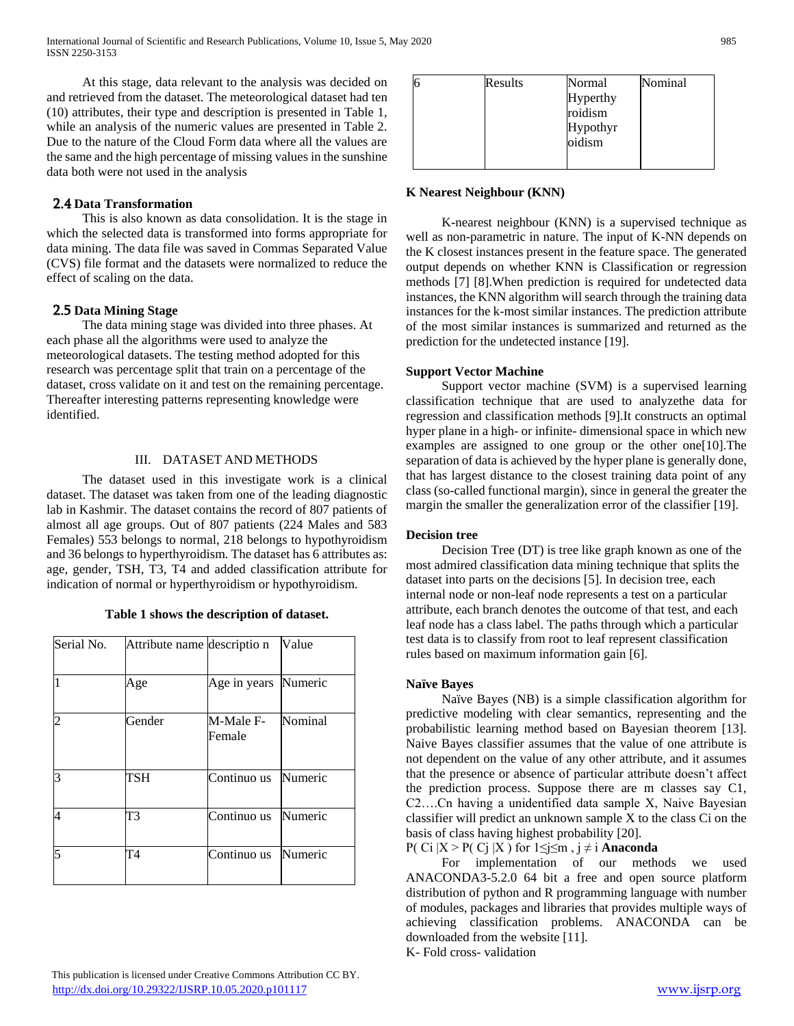At this stage, data relevant to the analysis was decided on and retrieved from the dataset. The meteorological dataset had ten (10) attributes, their type and description is presented in Table 1, while an analysis of the numeric values are presented in Table 2. Due to the nature of the Cloud Form data where all the values are the same and the high percentage of missing values in the sunshine data both were not used in the analysis

## 2.4 **Data Transformation**

 This is also known as data consolidation. It is the stage in which the selected data is transformed into forms appropriate for data mining. The data file was saved in Commas Separated Value (CVS) file format and the datasets were normalized to reduce the effect of scaling on the data.

## 2.5 **Data Mining Stage**

 The data mining stage was divided into three phases. At each phase all the algorithms were used to analyze the meteorological datasets. The testing method adopted for this research was percentage split that train on a percentage of the dataset, cross validate on it and test on the remaining percentage. Thereafter interesting patterns representing knowledge were identified.

## III. DATASET AND METHODS

 The dataset used in this investigate work is a clinical dataset. The dataset was taken from one of the leading diagnostic lab in Kashmir. The dataset contains the record of 807 patients of almost all age groups. Out of 807 patients (224 Males and 583 Females) 553 belongs to normal, 218 belongs to hypothyroidism and 36 belongs to hyperthyroidism. The dataset has 6 attributes as: age, gender, TSH, T3, T4 and added classification attribute for indication of normal or hyperthyroidism or hypothyroidism.

| Serial No. | Attribute name descriptio n |                     | Value   |
|------------|-----------------------------|---------------------|---------|
|            | Age                         | Age in years        | Numeric |
| 2          | Gender                      | M-Male F-<br>Female | Nominal |
| 3          | TSH                         | Continuo us         | Numeric |
| 4          | T3                          | Continuo us         | Numeric |
| 5          | T4                          | Continuo us         | Numeric |

**Table 1 shows the description of dataset.**

| 6 | Results | Normal          | Nominal |
|---|---------|-----------------|---------|
|   |         | <b>Hyperthy</b> |         |
|   |         | roidism         |         |
|   |         | Hypothyr        |         |
|   |         | oidism          |         |
|   |         |                 |         |

# **K Nearest Neighbour (KNN)**

 K-nearest neighbour (KNN) is a supervised technique as well as non-parametric in nature. The input of K-NN depends on the K closest instances present in the feature space. The generated output depends on whether KNN is Classification or regression methods [7] [8].When prediction is required for undetected data instances, the KNN algorithm will search through the training data instances for the k-most similar instances. The prediction attribute of the most similar instances is summarized and returned as the prediction for the undetected instance [19].

## **Support Vector Machine**

 Support vector machine (SVM) is a supervised learning classification technique that are used to analyzethe data for regression and classification methods [9].It constructs an optimal hyper plane in a high- or infinite- dimensional space in which new examples are assigned to one group or the other one[10].The separation of data is achieved by the hyper plane is generally done, that has largest distance to the closest training data point of any class (so-called functional margin), since in general the greater the margin the smaller the generalization error of the classifier [19].

## **Decision tree**

 Decision Tree (DT) is tree like graph known as one of the most admired classification data mining technique that splits the dataset into parts on the decisions [5]. In decision tree, each internal node or non-leaf node represents a test on a particular attribute, each branch denotes the outcome of that test, and each leaf node has a class label. The paths through which a particular test data is to classify from root to leaf represent classification rules based on maximum information gain [6].

## **Naïve Bayes**

 Naïve Bayes (NB) is a simple classification algorithm for predictive modeling with clear semantics, representing and the probabilistic learning method based on Bayesian theorem [13]. Naive Bayes classifier assumes that the value of one attribute is not dependent on the value of any other attribute, and it assumes that the presence or absence of particular attribute doesn't affect the prediction process. Suppose there are m classes say C1, C2….Cn having a unidentified data sample X, Naive Bayesian classifier will predict an unknown sample X to the class Ci on the basis of class having highest probability [20].

P( Ci  $|X > P(C_i | X)$  for  $1 \le i \le m$ ,  $i \ne i$  **Anaconda** 

 For implementation of our methods we used ANACONDA3-5.2.0 64 bit a free and open source platform distribution of python and R programming language with number of modules, packages and libraries that provides multiple ways of achieving classification problems. ANACONDA can be downloaded from the website [11].

K- Fold cross- validation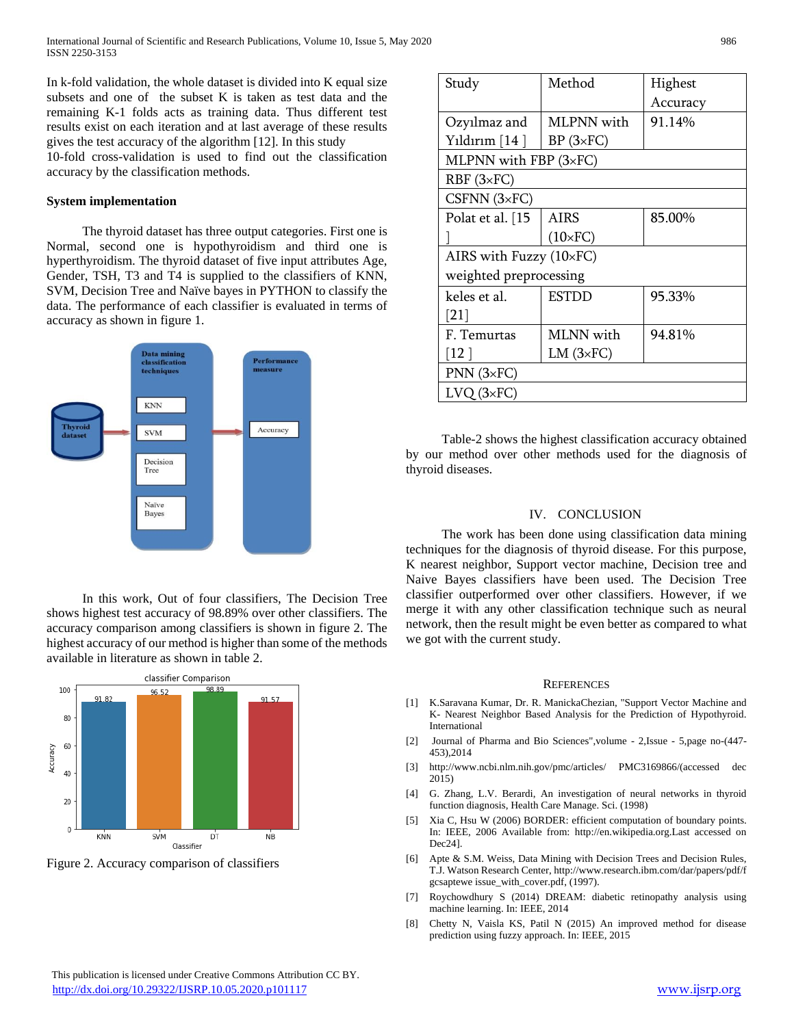In k-fold validation, the whole dataset is divided into K equal size subsets and one of the subset K is taken as test data and the remaining K-1 folds acts as training data. Thus different test results exist on each iteration and at last average of these results gives the test accuracy of the algorithm [12]. In this study

10-fold cross-validation is used to find out the classification accuracy by the classification methods.

#### **System implementation**

 The thyroid dataset has three output categories. First one is Normal, second one is hypothyroidism and third one is hyperthyroidism. The thyroid dataset of five input attributes Age, Gender, TSH, T3 and T4 is supplied to the classifiers of KNN, SVM, Decision Tree and Naïve bayes in PYTHON to classify the data. The performance of each classifier is evaluated in terms of accuracy as shown in figure 1.



In this work, Out of four classifiers, The Decision Tree shows highest test accuracy of 98.89% over other classifiers. The accuracy comparison among classifiers is shown in figure 2. The highest accuracy of our method is higher than some of the methods available in literature as shown in table 2.



Figure 2. Accuracy comparison of classifiers

| Study                         | Method                 | Highest  |  |  |  |
|-------------------------------|------------------------|----------|--|--|--|
|                               |                        | Accuracy |  |  |  |
| Ozyılmaz and                  | MLPNN with             | 91.14%   |  |  |  |
| Yıldırım $[14]$               | $BP(3\times FC)$       |          |  |  |  |
| MLPNN with FBP $(3\times$ FC) |                        |          |  |  |  |
| $RBF(3\times FC)$             |                        |          |  |  |  |
| CSFNN $(3 \times FC)$         |                        |          |  |  |  |
| Polat et al. [15              | <b>AIRS</b>            | 85.00%   |  |  |  |
|                               | $(10\times$ FC)        |          |  |  |  |
| AIRS with Fuzzy (10×FC)       |                        |          |  |  |  |
| weighted preprocessing        |                        |          |  |  |  |
| keles et al.                  | <b>ESTDD</b>           | 95.33%   |  |  |  |
| [21]                          |                        |          |  |  |  |
| F. Temurtas                   | MLNN with              | 94.81%   |  |  |  |
| [12 ]                         | $LM$ ( $3 \times FC$ ) |          |  |  |  |
| $PNN(3\times FC)$             |                        |          |  |  |  |
| $LVO$ ( $3\times FC$ )        |                        |          |  |  |  |

 Table-2 shows the highest classification accuracy obtained by our method over other methods used for the diagnosis of thyroid diseases.

#### IV. CONCLUSION

 The work has been done using classification data mining techniques for the diagnosis of thyroid disease. For this purpose, K nearest neighbor, Support vector machine, Decision tree and Naive Bayes classifiers have been used. The Decision Tree classifier outperformed over other classifiers. However, if we merge it with any other classification technique such as neural network, then the result might be even better as compared to what we got with the current study.

#### **REFERENCES**

- [1] K.Saravana Kumar, Dr. R. ManickaChezian, "Support Vector Machine and K- Nearest Neighbor Based Analysis for the Prediction of Hypothyroid. International
- [2] Journal of Pharma and Bio Sciences",volume 2,Issue 5,page no-(447- 453),2014
- [3] http://www.ncbi.nlm.nih.gov/pmc/articles/ PMC3169866/(accessed dec 2015)
- [4] G. Zhang, L.V. Berardi, An investigation of neural networks in thyroid function diagnosis, Health Care Manage. Sci. (1998)
- [5] Xia C, Hsu W (2006) BORDER: efficient computation of boundary points. In: IEEE, 2006 Available from: http://en.wikipedia.org.Last accessed on Dec24].
- [6] Apte & S.M. Weiss, Data Mining with Decision Trees and Decision Rules, T.J. Watson Research Center, http://www.research.ibm.com/dar/papers/pdf/f gcsaptewe issue\_with\_cover.pdf, (1997).
- [7] Roychowdhury S (2014) DREAM: diabetic retinopathy analysis using machine learning. In: IEEE, 2014
- [8] Chetty N, Vaisla KS, Patil N (2015) An improved method for disease prediction using fuzzy approach. In: IEEE, 2015